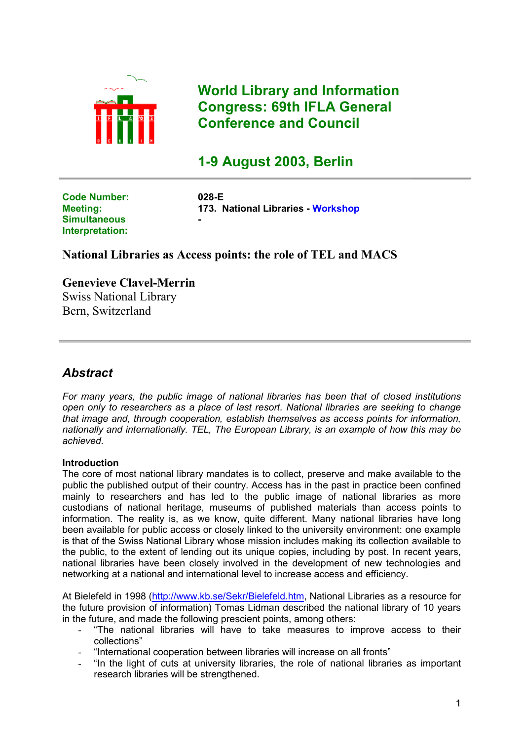

**World Library and Information Congress: 69th IFLA General Conference and Council**

# **1-9 August 2003, Berlin**

**Code Number: 028-E Simultaneous Interpretation:** 

**Meeting: 173. National Libraries - Workshop -**

# **National Libraries as Access points: the role of TEL and MACS**

**Genevieve Clavel-Merrin** Swiss National Library Bern, Switzerland

# *Abstract*

*For many years, the public image of national libraries has been that of closed institutions open only to researchers as a place of last resort. National libraries are seeking to change that image and, through cooperation, establish themselves as access points for information, nationally and internationally. TEL, The European Library, is an example of how this may be achieved.*

## **Introduction**

The core of most national library mandates is to collect, preserve and make available to the public the published output of their country. Access has in the past in practice been confined mainly to researchers and has led to the public image of national libraries as more custodians of national heritage, museums of published materials than access points to information. The reality is, as we know, quite different. Many national libraries have long been available for public access or closely linked to the university environment: one example is that of the Swiss National Library whose mission includes making its collection available to the public, to the extent of lending out its unique copies, including by post. In recent years, national libraries have been closely involved in the development of new technologies and networking at a national and international level to increase access and efficiency.

At Bielefeld in 1998 [\(http://www.kb.se/Sekr/Bielefeld.htm,](http://www.kb.se/Sekr/Bielefeld.htm) National Libraries as a resource for the future provision of information) Tomas Lidman described the national library of 10 years in the future, and made the following prescient points, among others:

- "The national libraries will have to take measures to improve access to their collections"
- "International cooperation between libraries will increase on all fronts"
- "In the light of cuts at university libraries, the role of national libraries as important research libraries will be strengthened.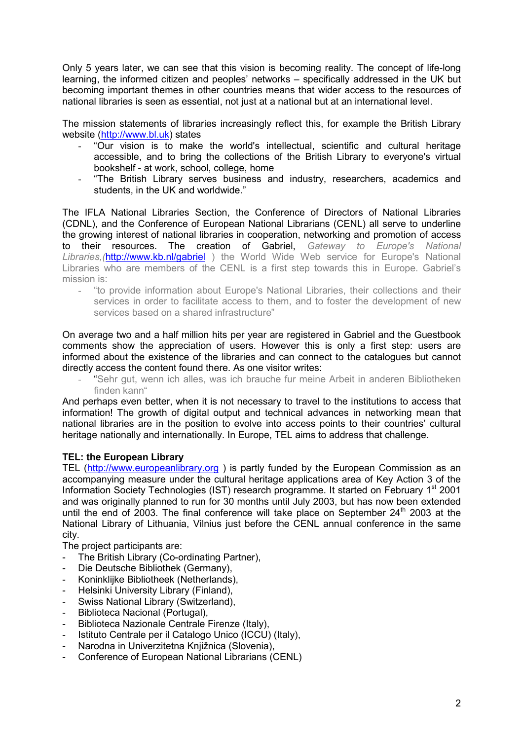Only 5 years later, we can see that this vision is becoming reality. The concept of life-long learning, the informed citizen and peoples' networks – specifically addressed in the UK but becoming important themes in other countries means that wider access to the resources of national libraries is seen as essential, not just at a national but at an international level.

The mission statements of libraries increasingly reflect this, for example the British Library website ([http://www.bl.uk\)](http://www.bl.uk/) states

- "Our vision is to make the world's intellectual, scientific and cultural heritage accessible, and to bring the collections of the British Library to everyone's virtual bookshelf - at work, school, college, home
- "The British Library serves business and industry, researchers, academics and students, in the UK and worldwide."

The IFLA National Libraries Section, the Conference of Directors of National Libraries (CDNL), and the Conference of European National Librarians (CENL) all serve to underline the growing interest of national libraries in cooperation, networking and promotion of access to their resources. The creation of Gabriel, *Gateway to Europe's National Libraries,(*<http://www.kb.nl/gabriel>) the World Wide Web service for Europe's National Libraries who are members of the CENL is a first step towards this in Europe. Gabriel's mission is:

- "to provide information about Europe's National Libraries, their collections and their services in order to facilitate access to them, and to foster the development of new services based on a shared infrastructure"

On average two and a half million hits per year are registered in Gabriel and the Guestbook comments show the appreciation of users. However this is only a first step: users are informed about the existence of the libraries and can connect to the catalogues but cannot directly access the content found there. As one visitor writes:

"Sehr gut, wenn ich alles, was ich brauche fur meine Arbeit in anderen Bibliotheken finden kann"

And perhaps even better, when it is not necessary to travel to the institutions to access that information! The growth of digital output and technical advances in networking mean that national libraries are in the position to evolve into access points to their countries' cultural heritage nationally and internationally. In Europe, TEL aims to address that challenge.

## **TEL: the European Library**

TEL (http://www.europeanlibrary.org) is partly funded by the European Commission as an accompanying measure under the cultural heritage applications area of Key Action 3 of the Information Society Technologies (IST) research programme. It started on February 1<sup>st</sup> 2001 and was originally planned to run for 30 months until July 2003, but has now been extended until the end of 2003. The final conference will take place on September  $24<sup>th</sup>$  2003 at the National Library of Lithuania, Vilnius just before the CENL annual conference in the same city.

The project participants are:

- The British Library (Co-ordinating Partner),
- Die Deutsche Bibliothek (Germany),
- Koninklijke Bibliotheek (Netherlands),
- Helsinki University Library (Finland),
- Swiss National Library (Switzerland),
- Biblioteca Nacional (Portugal),
- Biblioteca Nazionale Centrale Firenze (Italy),
- Istituto Centrale per il Catalogo Unico (ICCU) (Italy),
- Narodna in Univerzitetna Knjižnica (Slovenia).
- Conference of European National Librarians (CENL)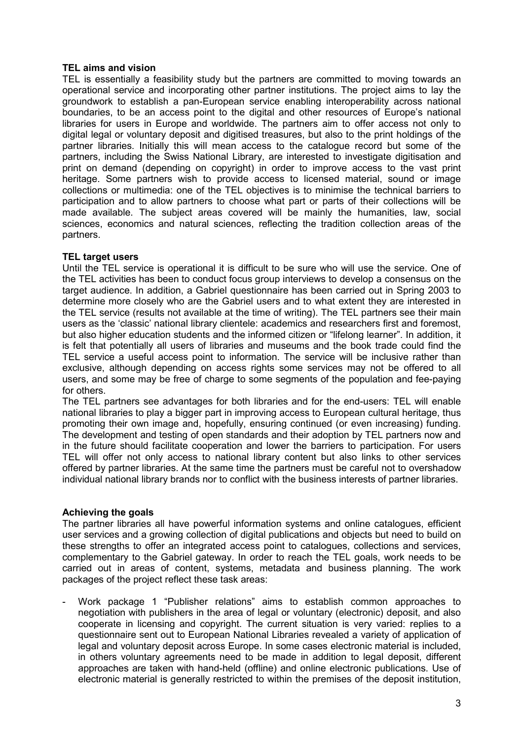#### **TEL aims and vision**

TEL is essentially a feasibility study but the partners are committed to moving towards an operational service and incorporating other partner institutions. The project aims to lay the groundwork to establish a pan-European service enabling interoperability across national boundaries, to be an access point to the digital and other resources of Europe's national libraries for users in Europe and worldwide. The partners aim to offer access not only to digital legal or voluntary deposit and digitised treasures, but also to the print holdings of the partner libraries. Initially this will mean access to the catalogue record but some of the partners, including the Swiss National Library, are interested to investigate digitisation and print on demand (depending on copyright) in order to improve access to the vast print heritage. Some partners wish to provide access to licensed material, sound or image collections or multimedia: one of the TEL objectives is to minimise the technical barriers to participation and to allow partners to choose what part or parts of their collections will be made available. The subject areas covered will be mainly the humanities, law, social sciences, economics and natural sciences, reflecting the tradition collection areas of the partners.

### **TEL target users**

Until the TEL service is operational it is difficult to be sure who will use the service. One of the TEL activities has been to conduct focus group interviews to develop a consensus on the target audience. In addition, a Gabriel questionnaire has been carried out in Spring 2003 to determine more closely who are the Gabriel users and to what extent they are interested in the TEL service (results not available at the time of writing). The TEL partners see their main users as the 'classic' national library clientele: academics and researchers first and foremost, but also higher education students and the informed citizen or "lifelong learner". In addition, it is felt that potentially all users of libraries and museums and the book trade could find the TEL service a useful access point to information. The service will be inclusive rather than exclusive, although depending on access rights some services may not be offered to all users, and some may be free of charge to some segments of the population and fee-paying for others.

The TEL partners see advantages for both libraries and for the end-users: TEL will enable national libraries to play a bigger part in improving access to European cultural heritage, thus promoting their own image and, hopefully, ensuring continued (or even increasing) funding. The development and testing of open standards and their adoption by TEL partners now and in the future should facilitate cooperation and lower the barriers to participation. For users TEL will offer not only access to national library content but also links to other services offered by partner libraries. At the same time the partners must be careful not to overshadow individual national library brands nor to conflict with the business interests of partner libraries.

#### **Achieving the goals**

The partner libraries all have powerful information systems and online catalogues, efficient user services and a growing collection of digital publications and objects but need to build on these strengths to offer an integrated access point to catalogues, collections and services, complementary to the Gabriel gateway. In order to reach the TEL goals, work needs to be carried out in areas of content, systems, metadata and business planning. The work packages of the project reflect these task areas:

- Work package 1 "Publisher relations" aims to establish common approaches to negotiation with publishers in the area of legal or voluntary (electronic) deposit, and also cooperate in licensing and copyright. The current situation is very varied: replies to a questionnaire sent out to European National Libraries revealed a variety of application of legal and voluntary deposit across Europe. In some cases electronic material is included, in others voluntary agreements need to be made in addition to legal deposit, different approaches are taken with hand-held (offline) and online electronic publications. Use of electronic material is generally restricted to within the premises of the deposit institution,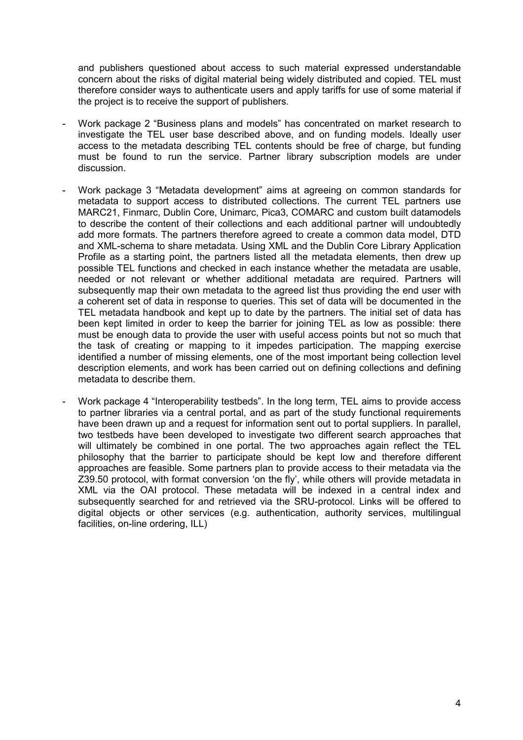and publishers questioned about access to such material expressed understandable concern about the risks of digital material being widely distributed and copied. TEL must therefore consider ways to authenticate users and apply tariffs for use of some material if the project is to receive the support of publishers.

- Work package 2 "Business plans and models" has concentrated on market research to investigate the TEL user base described above, and on funding models. Ideally user access to the metadata describing TEL contents should be free of charge, but funding must be found to run the service. Partner library subscription models are under discussion.
- Work package 3 "Metadata development" aims at agreeing on common standards for metadata to support access to distributed collections. The current TEL partners use MARC21, Finmarc, Dublin Core, Unimarc, Pica3, COMARC and custom built datamodels to describe the content of their collections and each additional partner will undoubtedly add more formats. The partners therefore agreed to create a common data model, DTD and XML-schema to share metadata. Using XML and the Dublin Core Library Application Profile as a starting point, the partners listed all the metadata elements, then drew up possible TEL functions and checked in each instance whether the metadata are usable, needed or not relevant or whether additional metadata are required. Partners will subsequently map their own metadata to the agreed list thus providing the end user with a coherent set of data in response to queries. This set of data will be documented in the TEL metadata handbook and kept up to date by the partners. The initial set of data has been kept limited in order to keep the barrier for joining TEL as low as possible: there must be enough data to provide the user with useful access points but not so much that the task of creating or mapping to it impedes participation. The mapping exercise identified a number of missing elements, one of the most important being collection level description elements, and work has been carried out on defining collections and defining metadata to describe them.
- Work package 4 "Interoperability testbeds". In the long term, TEL aims to provide access to partner libraries via a central portal, and as part of the study functional requirements have been drawn up and a request for information sent out to portal suppliers. In parallel, two testbeds have been developed to investigate two different search approaches that will ultimately be combined in one portal. The two approaches again reflect the TEL philosophy that the barrier to participate should be kept low and therefore different approaches are feasible. Some partners plan to provide access to their metadata via the Z39.50 protocol, with format conversion 'on the fly', while others will provide metadata in XML via the OAI protocol. These metadata will be indexed in a central index and subsequently searched for and retrieved via the SRU-protocol. Links will be offered to digital objects or other services (e.g. authentication, authority services, multilingual facilities, on-line ordering, ILL)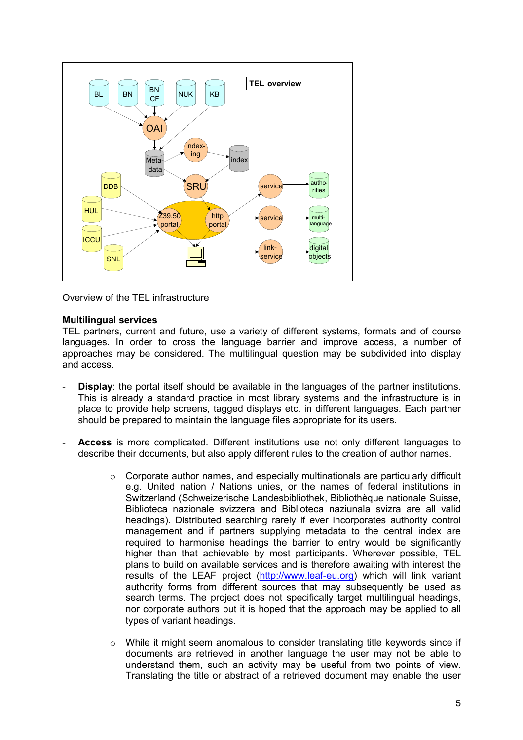

Overview of the TEL infrastructure

#### **Multilingual services**

TEL partners, current and future, use a variety of different systems, formats and of course languages. In order to cross the language barrier and improve access, a number of approaches may be considered. The multilingual question may be subdivided into display and access.

- **Display**: the portal itself should be available in the languages of the partner institutions. This is already a standard practice in most library systems and the infrastructure is in place to provide help screens, tagged displays etc. in different languages. Each partner should be prepared to maintain the language files appropriate for its users.
- **Access** is more complicated. Different institutions use not only different languages to describe their documents, but also apply different rules to the creation of author names.
	- $\circ$  Corporate author names, and especially multinationals are particularly difficult e.g. United nation / Nations unies, or the names of federal institutions in Switzerland (Schweizerische Landesbibliothek, Bibliothèque nationale Suisse, Biblioteca nazionale svizzera and Biblioteca naziunala svizra are all valid headings). Distributed searching rarely if ever incorporates authority control management and if partners supplying metadata to the central index are required to harmonise headings the barrier to entry would be significantly higher than that achievable by most participants. Wherever possible, TEL plans to build on available services and is therefore awaiting with interest the results of the LEAF project [\(http://www.leaf-eu.org\)](http://www.leaf-eu.org/) which will link variant authority forms from different sources that may subsequently be used as search terms. The project does not specifically target multilingual headings, nor corporate authors but it is hoped that the approach may be applied to all types of variant headings.
	- $\circ$  While it might seem anomalous to consider translating title keywords since if documents are retrieved in another language the user may not be able to understand them, such an activity may be useful from two points of view. Translating the title or abstract of a retrieved document may enable the user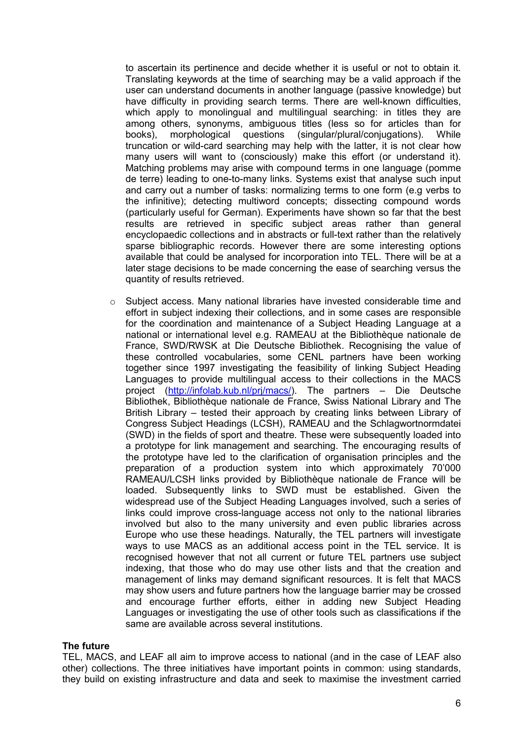to ascertain its pertinence and decide whether it is useful or not to obtain it. Translating keywords at the time of searching may be a valid approach if the user can understand documents in another language (passive knowledge) but have difficulty in providing search terms. There are well-known difficulties, which apply to monolingual and multilingual searching: in titles they are among others, synonyms, ambiguous titles (less so for articles than for books), morphological questions (singular/plural/conjugations). While truncation or wild-card searching may help with the latter, it is not clear how many users will want to (consciously) make this effort (or understand it). Matching problems may arise with compound terms in one language (pomme de terre) leading to one-to-many links. Systems exist that analyse such input and carry out a number of tasks: normalizing terms to one form (e.g verbs to the infinitive); detecting multiword concepts; dissecting compound words (particularly useful for German). Experiments have shown so far that the best results are retrieved in specific subject areas rather than general encyclopaedic collections and in abstracts or full-text rather than the relatively sparse bibliographic records. However there are some interesting options available that could be analysed for incorporation into TEL. There will be at a later stage decisions to be made concerning the ease of searching versus the quantity of results retrieved.

 $\circ$  Subject access. Many national libraries have invested considerable time and effort in subject indexing their collections, and in some cases are responsible for the coordination and maintenance of a Subject Heading Language at a national or international level e.g. RAMEAU at the Bibliothèque nationale de France, SWD/RWSK at Die Deutsche Bibliothek. Recognising the value of these controlled vocabularies, some CENL partners have been working together since 1997 investigating the feasibility of linking Subject Heading Languages to provide multilingual access to their collections in the MACS project [\(http://infolab.kub.nl/prj/macs/\)](http://infolab.kub.nl/prj/macs/). The partners – Die Deutsche Bibliothek, Bibliothèque nationale de France, Swiss National Library and The British Library – tested their approach by creating links between Library of Congress Subject Headings (LCSH), RAMEAU and the Schlagwortnormdatei (SWD) in the fields of sport and theatre. These were subsequently loaded into a prototype for link management and searching. The encouraging results of the prototype have led to the clarification of organisation principles and the preparation of a production system into which approximately 70'000 RAMEAU/LCSH links provided by Bibliothèque nationale de France will be loaded. Subsequently links to SWD must be established. Given the widespread use of the Subject Heading Languages involved, such a series of links could improve cross-language access not only to the national libraries involved but also to the many university and even public libraries across Europe who use these headings. Naturally, the TEL partners will investigate ways to use MACS as an additional access point in the TEL service. It is recognised however that not all current or future TEL partners use subject indexing, that those who do may use other lists and that the creation and management of links may demand significant resources. It is felt that MACS may show users and future partners how the language barrier may be crossed and encourage further efforts, either in adding new Subject Heading Languages or investigating the use of other tools such as classifications if the same are available across several institutions.

#### **The future**

TEL, MACS, and LEAF all aim to improve access to national (and in the case of LEAF also other) collections. The three initiatives have important points in common: using standards, they build on existing infrastructure and data and seek to maximise the investment carried